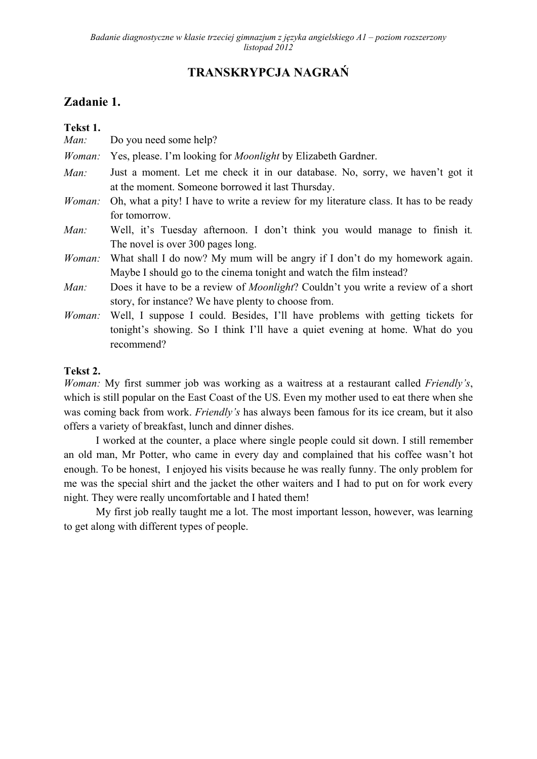# **TRANSKRYPCJA NAGRAŃ**

# **Zadanie 1.**

| Tekst 1. |                                                                                                                                                                             |
|----------|-----------------------------------------------------------------------------------------------------------------------------------------------------------------------------|
| Man:     | Do you need some help?                                                                                                                                                      |
| Woman:   | Yes, please. I'm looking for <i>Moonlight</i> by Elizabeth Gardner.                                                                                                         |
| Man:     | Just a moment. Let me check it in our database. No, sorry, we haven't got it<br>at the moment. Someone borrowed it last Thursday.                                           |
| Woman:   | Oh, what a pity! I have to write a review for my literature class. It has to be ready<br>for tomorrow.                                                                      |
| Man:     | Well, it's Tuesday afternoon. I don't think you would manage to finish it.<br>The novel is over 300 pages long.                                                             |
| Woman:   | What shall I do now? My mum will be angry if I don't do my homework again.<br>Maybe I should go to the cinema tonight and watch the film instead?                           |
| Man:     | Does it have to be a review of <i>Moonlight</i> ? Couldn't you write a review of a short<br>story, for instance? We have plenty to choose from.                             |
| Woman:   | Well, I suppose I could. Besides, I'll have problems with getting tickets for<br>tonight's showing. So I think I'll have a quiet evening at home. What do you<br>recommend? |

## **Tekst 2.**

*Woman:* My first summer job was working as a waitress at a restaurant called *Friendly's*, which is still popular on the East Coast of the US. Even my mother used to eat there when she was coming back from work. *Friendly's* has always been famous for its ice cream, but it also offers a variety of breakfast, lunch and dinner dishes.

I worked at the counter, a place where single people could sit down. I still remember an old man, Mr Potter, who came in every day and complained that his coffee wasn't hot enough. To be honest, I enjoyed his visits because he was really funny. The only problem for me was the special shirt and the jacket the other waiters and I had to put on for work every night. They were really uncomfortable and I hated them!

My first job really taught me a lot. The most important lesson, however, was learning to get along with different types of people.